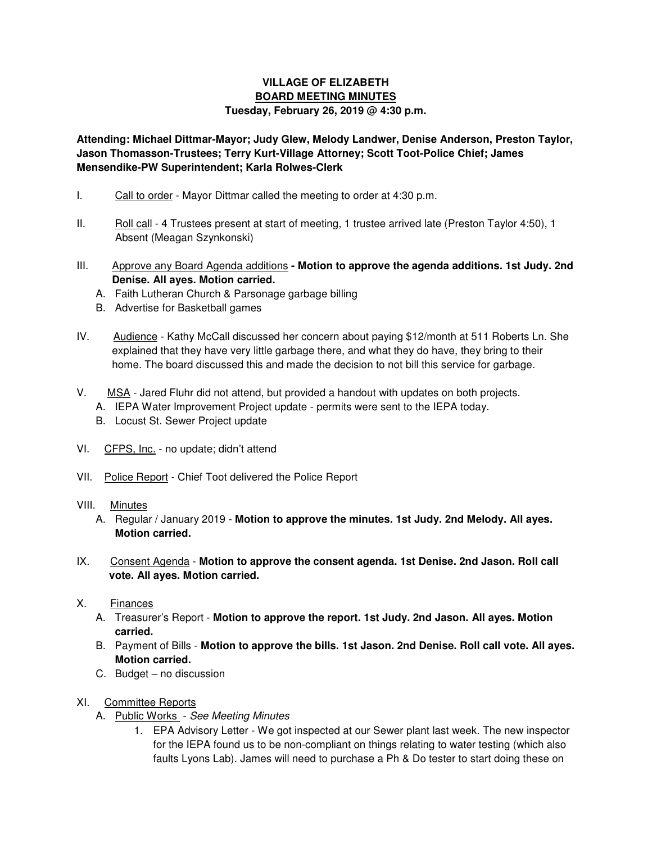## **VILLAGE OF ELIZABETH BOARD MEETING MINUTES**

## **Tuesday, February 26, 2019 @ 4:30 p.m.**

**Attending: Michael Dittmar-Mayor; Judy Glew, Melody Landwer, Denise Anderson, Preston Taylor, Jason Thomasson-Trustees; Terry Kurt-Village Attorney; Scott Toot-Police Chief; James Mensendike-PW Superintendent; Karla Rolwes-Clerk** 

- I. Call to order Mayor Dittmar called the meeting to order at 4:30 p.m.
- II. Roll call 4 Trustees present at start of meeting, 1 trustee arrived late (Preston Taylor 4:50), 1 Absent (Meagan Szynkonski)
- III. Approve any Board Agenda additions **Motion to approve the agenda additions. 1st Judy. 2nd Denise. All ayes. Motion carried.** 
	- A. Faith Lutheran Church & Parsonage garbage billing
	- B. Advertise for Basketball games
- IV. Audience Kathy McCall discussed her concern about paying \$12/month at 511 Roberts Ln. She explained that they have very little garbage there, and what they do have, they bring to their home. The board discussed this and made the decision to not bill this service for garbage.
- V. MSA Jared Fluhr did not attend, but provided a handout with updates on both projects.
	- A. IEPA Water Improvement Project update permits were sent to the IEPA today.
	- B. Locust St. Sewer Project update
- VI. CFPS, Inc. no update; didn't attend
- VII. Police Report Chief Toot delivered the Police Report
- VIII. Minutes
	- A. Regular / January 2019 **Motion to approve the minutes. 1st Judy. 2nd Melody. All ayes. Motion carried.**
- IX. Consent Agenda **Motion to approve the consent agenda. 1st Denise. 2nd Jason. Roll call vote. All ayes. Motion carried.**
- X. Finances
	- A. Treasurer's Report **Motion to approve the report. 1st Judy. 2nd Jason. All ayes. Motion carried.**
	- B. Payment of Bills **Motion to approve the bills. 1st Jason. 2nd Denise. Roll call vote. All ayes. Motion carried.**
	- C. Budget no discussion
- XI. Committee Reports
	- A. Public Works See Meeting Minutes
		- 1. EPA Advisory Letter We got inspected at our Sewer plant last week. The new inspector for the IEPA found us to be non-compliant on things relating to water testing (which also faults Lyons Lab). James will need to purchase a Ph & Do tester to start doing these on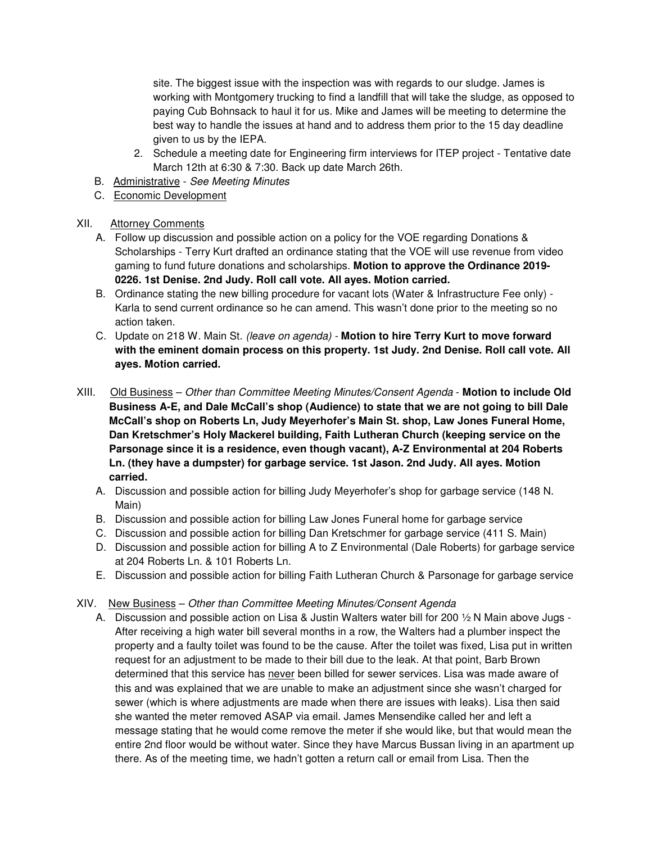site. The biggest issue with the inspection was with regards to our sludge. James is working with Montgomery trucking to find a landfill that will take the sludge, as opposed to paying Cub Bohnsack to haul it for us. Mike and James will be meeting to determine the best way to handle the issues at hand and to address them prior to the 15 day deadline given to us by the IEPA.

- 2. Schedule a meeting date for Engineering firm interviews for ITEP project Tentative date March 12th at 6:30 & 7:30. Back up date March 26th.
- B. Administrative See Meeting Minutes
- C. Economic Development
- XII. Attorney Comments
	- A. Follow up discussion and possible action on a policy for the VOE regarding Donations & Scholarships - Terry Kurt drafted an ordinance stating that the VOE will use revenue from video gaming to fund future donations and scholarships. **Motion to approve the Ordinance 2019- 0226. 1st Denise. 2nd Judy. Roll call vote. All ayes. Motion carried.**
	- B. Ordinance stating the new billing procedure for vacant lots (Water & Infrastructure Fee only) Karla to send current ordinance so he can amend. This wasn't done prior to the meeting so no action taken.
	- C. Update on 218 W. Main St. (leave on agenda) **Motion to hire Terry Kurt to move forward with the eminent domain process on this property. 1st Judy. 2nd Denise. Roll call vote. All ayes. Motion carried.**
- XIII. Old Business Other than Committee Meeting Minutes/Consent Agenda **Motion to include Old Business A-E, and Dale McCall's shop (Audience) to state that we are not going to bill Dale McCall's shop on Roberts Ln, Judy Meyerhofer's Main St. shop, Law Jones Funeral Home, Dan Kretschmer's Holy Mackerel building, Faith Lutheran Church (keeping service on the Parsonage since it is a residence, even though vacant), A-Z Environmental at 204 Roberts Ln. (they have a dumpster) for garbage service. 1st Jason. 2nd Judy. All ayes. Motion carried.** 
	- A. Discussion and possible action for billing Judy Meyerhofer's shop for garbage service (148 N. Main)
	- B. Discussion and possible action for billing Law Jones Funeral home for garbage service
	- C. Discussion and possible action for billing Dan Kretschmer for garbage service (411 S. Main)
	- D. Discussion and possible action for billing A to Z Environmental (Dale Roberts) for garbage service at 204 Roberts Ln. & 101 Roberts Ln.
	- E. Discussion and possible action for billing Faith Lutheran Church & Parsonage for garbage service
- XIV. New Business Other than Committee Meeting Minutes/Consent Agenda
	- A. Discussion and possible action on Lisa & Justin Walters water bill for 200 1/2 N Main above Jugs -After receiving a high water bill several months in a row, the Walters had a plumber inspect the property and a faulty toilet was found to be the cause. After the toilet was fixed, Lisa put in written request for an adjustment to be made to their bill due to the leak. At that point, Barb Brown determined that this service has never been billed for sewer services. Lisa was made aware of this and was explained that we are unable to make an adjustment since she wasn't charged for sewer (which is where adjustments are made when there are issues with leaks). Lisa then said she wanted the meter removed ASAP via email. James Mensendike called her and left a message stating that he would come remove the meter if she would like, but that would mean the entire 2nd floor would be without water. Since they have Marcus Bussan living in an apartment up there. As of the meeting time, we hadn't gotten a return call or email from Lisa. Then the